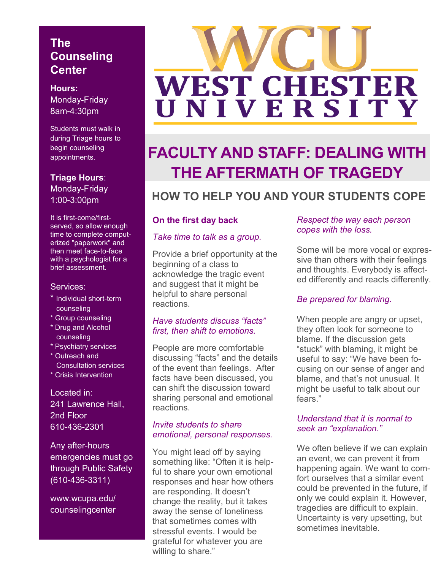## **The Counseling Center**

#### **Hours:**

Monday-Friday 8am-4:30pm

Students must walk in during Triage hours to begin counseling appointments.

**Triage Hours**: Monday-Friday 1:00-3:00pm

It is first-come/firstserved, so allow enough time to complete computerized "paperwork" and then meet face-to-face with a psychologist for a brief assessment.

#### Services:

- \* Individual short-term counseling
- \* Group counseling
- \* Drug and Alcohol counseling
- \* Psychiatry services
- \* Outreach and Consultation services
- \* Crisis Intervention

Located in: 241 Lawrence Hall, 2nd Floor 610-436-2301

Any after-hours emergencies must go through Public Safety (610-436-3311)

www.wcupa.edu/ counselingcenter

# **WEST CHESTER** UNIVERSITY

# **FACULTY AND STAFF: DEALING WITH THE AFTERMATH OF TRAGEDY**

## **HOW TO HELP YOU AND YOUR STUDENTS COPE**

#### **On the first day back**

#### *Take time to talk as a group.*

Provide a brief opportunity at the beginning of a class to acknowledge the tragic event and suggest that it might be helpful to share personal reactions.

#### *Have students discuss "facts" first, then shift to emotions.*

People are more comfortable discussing "facts" and the details of the event than feelings. After facts have been discussed, you can shift the discussion toward sharing personal and emotional reactions.

#### *Invite students to share emotional, personal responses.*

You might lead off by saying something like: "Often it is helpful to share your own emotional responses and hear how others are responding. It doesn't change the reality, but it takes away the sense of loneliness that sometimes comes with stressful events. I would be grateful for whatever you are willing to share."

#### *Respect the way each person copes with the loss.*

Some will be more vocal or expressive than others with their feelings and thoughts. Everybody is affected differently and reacts differently.

#### *Be prepared for blaming.*

When people are angry or upset, they often look for someone to blame. If the discussion gets "stuck" with blaming, it might be useful to say: "We have been focusing on our sense of anger and blame, and that's not unusual. It might be useful to talk about our fears."

#### *Understand that it is normal to seek an "explanation."*

We often believe if we can explain an event, we can prevent it from happening again. We want to comfort ourselves that a similar event could be prevented in the future, if only we could explain it. However, tragedies are difficult to explain. Uncertainty is very upsetting, but sometimes inevitable.